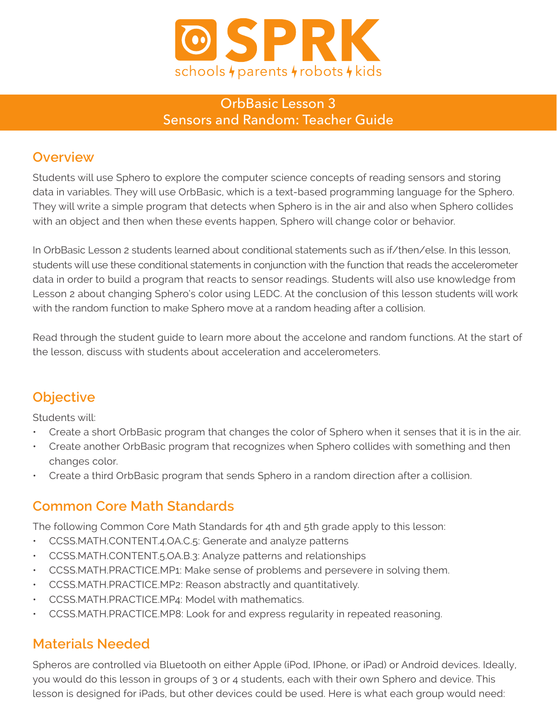

### OrbBasic Lesson 3 Sensors and Random: Teacher Guide

#### **Overview**

Students will use Sphero to explore the computer science concepts of reading sensors and storing data in variables. They will use OrbBasic, which is a text-based programming language for the Sphero. They will write a simple program that detects when Sphero is in the air and also when Sphero collides with an object and then when these events happen, Sphero will change color or behavior.

In OrbBasic Lesson 2 students learned about conditional statements such as if/then/else. In this lesson, students will use these conditional statements in conjunction with the function that reads the accelerometer data in order to build a program that reacts to sensor readings. Students will also use knowledge from Lesson 2 about changing Sphero's color using LEDC. At the conclusion of this lesson students will work with the random function to make Sphero move at a random heading after a collision.

Read through the student guide to learn more about the accelone and random functions. At the start of the lesson, discuss with students about acceleration and accelerometers.

### **Objective**

Students will:

- Create a short OrbBasic program that changes the color of Sphero when it senses that it is in the air.
- Create another OrbBasic program that recognizes when Sphero collides with something and then changes color.
- Create a third OrbBasic program that sends Sphero in a random direction after a collision.

#### **Common Core Math Standards**

The following Common Core Math Standards for 4th and 5th grade apply to this lesson:

- CCSS.MATH.CONTENT.4.OA.C.5: Generate and analyze patterns
- CCSS.MATH.CONTENT.5.OA.B.3: Analyze patterns and relationships
- CCSS.MATH.PRACTICE.MP1: Make sense of problems and persevere in solving them.
- CCSS.MATH.PRACTICE.MP2: Reason abstractly and quantitatively.
- CCSS.MATH.PRACTICE.MP4: Model with mathematics.
- CCSS.MATH.PRACTICE.MP8: Look for and express regularity in repeated reasoning.

#### **Materials Needed**

Spheros are controlled via Bluetooth on either Apple (iPod, IPhone, or iPad) or Android devices. Ideally, you would do this lesson in groups of 3 or 4 students, each with their own Sphero and device. This lesson is designed for iPads, but other devices could be used. Here is what each group would need: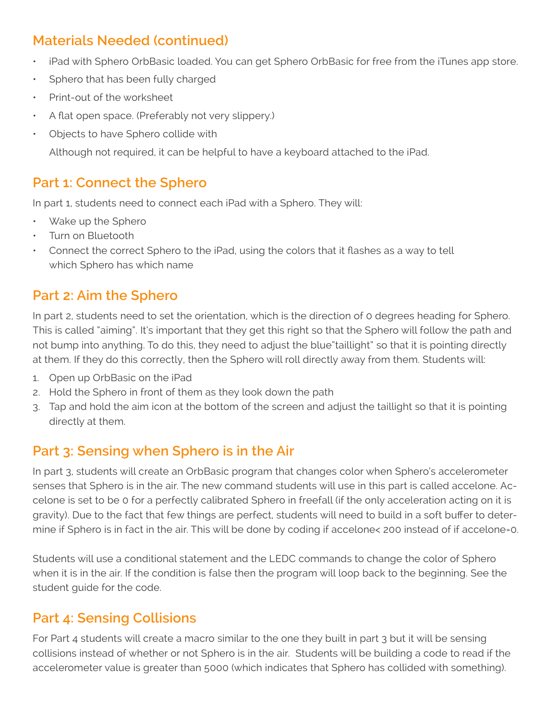## **Materials Needed (continued)**

- iPad with Sphero OrbBasic loaded. You can get Sphero OrbBasic for free from the iTunes app store.
- Sphero that has been fully charged
- Print-out of the worksheet
- A flat open space. (Preferably not very slippery.)
- Objects to have Sphero collide with

Although not required, it can be helpful to have a keyboard attached to the iPad.

#### **Part 1: Connect the Sphero**

In part 1, students need to connect each iPad with a Sphero. They will:

- Wake up the Sphero
- Turn on Bluetooth
- Connect the correct Sphero to the iPad, using the colors that it flashes as a way to tell which Sphero has which name

### **Part 2: Aim the Sphero**

In part 2, students need to set the orientation, which is the direction of 0 degrees heading for Sphero. This is called "aiming". It's important that they get this right so that the Sphero will follow the path and not bump into anything. To do this, they need to adjust the blue"taillight" so that it is pointing directly at them. If they do this correctly, then the Sphero will roll directly away from them. Students will:

- 1. Open up OrbBasic on the iPad
- 2. Hold the Sphero in front of them as they look down the path
- 3. Tap and hold the aim icon at the bottom of the screen and adjust the taillight so that it is pointing directly at them.

### **Part 3: Sensing when Sphero is in the Air**

In part 3, students will create an OrbBasic program that changes color when Sphero's accelerometer senses that Sphero is in the air. The new command students will use in this part is called accelone. Accelone is set to be 0 for a perfectly calibrated Sphero in freefall (if the only acceleration acting on it is gravity). Due to the fact that few things are perfect, students will need to build in a soft buffer to determine if Sphero is in fact in the air. This will be done by coding if accelone< 200 instead of if accelone=0.

Students will use a conditional statement and the LEDC commands to change the color of Sphero when it is in the air. If the condition is false then the program will loop back to the beginning. See the student guide for the code.

### **Part 4: Sensing Collisions**

For Part 4 students will create a macro similar to the one they built in part 3 but it will be sensing collisions instead of whether or not Sphero is in the air. Students will be building a code to read if the accelerometer value is greater than 5000 (which indicates that Sphero has collided with something).